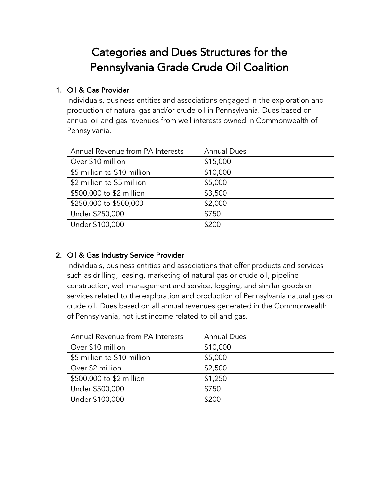# Categories and Dues Structures for the Pennsylvania Grade Crude Oil Coalition

## 1. Oil & Gas Provider

Individuals, business entities and associations engaged in the exploration and production of natural gas and/or crude oil in Pennsylvania. Dues based on annual oil and gas revenues from well interests owned in Commonwealth of Pennsylvania.

| Annual Revenue from PA Interests | <b>Annual Dues</b> |
|----------------------------------|--------------------|
| Over \$10 million                | \$15,000           |
| \$5 million to \$10 million      | \$10,000           |
| \$2 million to \$5 million       | \$5,000            |
| \$500,000 to \$2 million         | \$3,500            |
| \$250,000 to \$500,000           | \$2,000            |
| Under \$250,000                  | \$750              |
| Under \$100,000                  | \$200              |

### 2. Oil & Gas Industry Service Provider

Individuals, business entities and associations that offer products and services such as drilling, leasing, marketing of natural gas or crude oil, pipeline construction, well management and service, logging, and similar goods or services related to the exploration and production of Pennsylvania natural gas or crude oil. Dues based on all annual revenues generated in the Commonwealth of Pennsylvania, not just income related to oil and gas.

| Annual Revenue from PA Interests | <b>Annual Dues</b> |
|----------------------------------|--------------------|
| Over \$10 million                | \$10,000           |
| \$5 million to \$10 million      | \$5,000            |
| Over \$2 million                 | \$2,500            |
| \$500,000 to \$2 million         | \$1,250            |
| Under \$500,000                  | \$750              |
| Under \$100,000                  | \$200              |